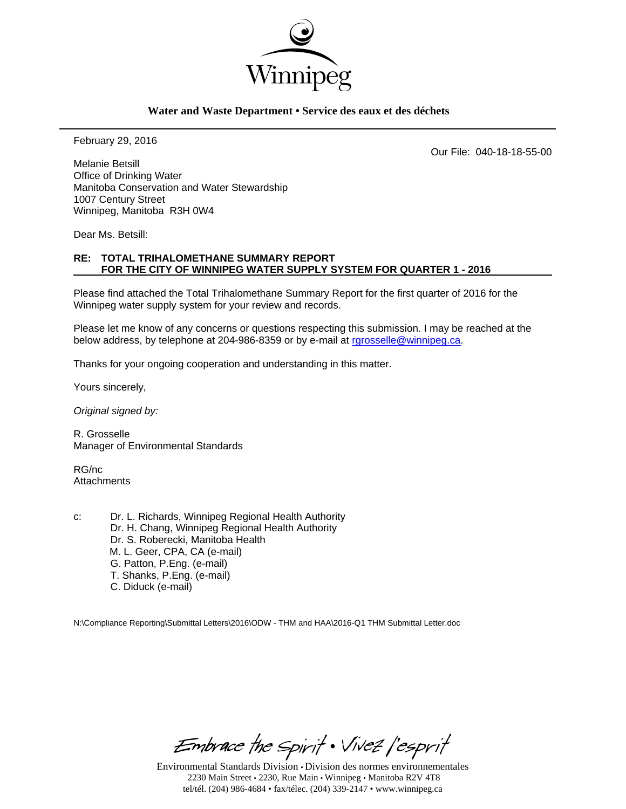

### **Water and Waste Department • Service des eaux et des déchets**

February 29, 2016

Our File: 040-18-18-55-00

Melanie Betsill Office of Drinking Water Manitoba Conservation and Water Stewardship 1007 Century Street Winnipeg, Manitoba R3H 0W4

Dear Ms. Betsill:

### **RE: TOTAL TRIHALOMETHANE SUMMARY REPORT FOR THE CITY OF WINNIPEG WATER SUPPLY SYSTEM FOR QUARTER 1 - 2016**

Please find attached the Total Trihalomethane Summary Report for the first quarter of 2016 for the Winnipeg water supply system for your review and records.

Please let me know of any concerns or questions respecting this submission. I may be reached at the below address, by telephone at 204-986-8359 or by e-mail at rgrosselle@winnipeg.ca.

Thanks for your ongoing cooperation and understanding in this matter.

Yours sincerely,

*Original signed by:* 

R. Grosselle Manager of Environmental Standards

RG/nc **Attachments** 

c: Dr. L. Richards, Winnipeg Regional Health Authority Dr. H. Chang, Winnipeg Regional Health Authority Dr. S. Roberecki, Manitoba Health M. L. Geer, CPA, CA (e-mail) G. Patton, P.Eng. (e-mail) T. Shanks, P.Eng. (e-mail) C. Diduck (e-mail)

N:\Compliance Reporting\Submittal Letters\2016\ODW - THM and HAA\2016-Q1 THM Submittal Letter.doc

Embrace the Spirit . Vivez l'esprit

Environmental Standards Division • Division des normes environnementales 2230 Main Street • 2230, Rue Main • Winnipeg • Manitoba R2V 4T8 tel/tél. (204) 986-4684 • fax/télec. (204) 339-2147 • www.winnipeg.ca